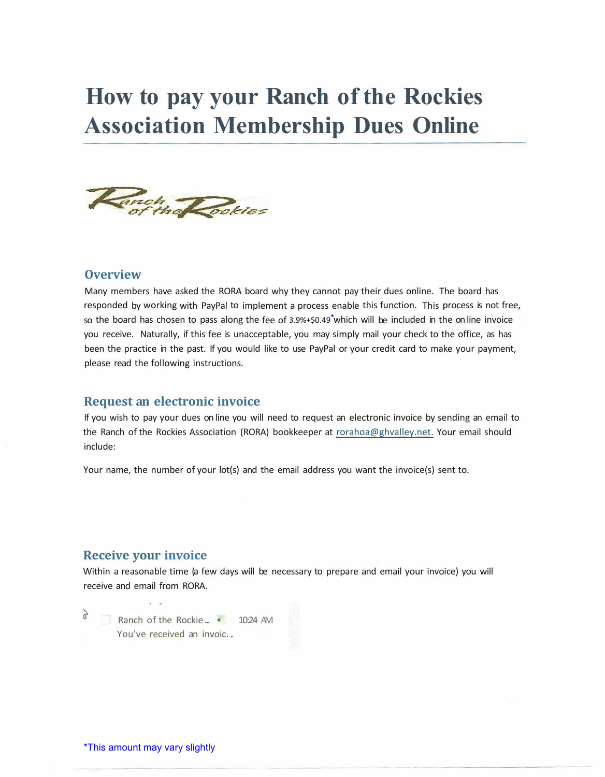# **How to pay your Ranch of the Rockies Association Membership Dues Online**



### **Overview**

Many members have asked the RORA board why they cannot pay their dues online. The board has responded by working with PayPal to implement a process enable this function. This process is not free, so the board has chosen to pass along the fee of 3.9%+\$0.49<sup>\*</sup>which will be included in the on line invoice you receive. Naturally, if this fee is unacceptable, you may simply mail your check to the office, as has been the practice in the past. If you would like to use PayPal or your credit card to make your payment, please read the following instructions.

#### **Request an electronic invoice**

If you wish to pay your dues on line you will need to request an electronic invoice by sending an email to the Ranch of the Rockies Association (RORA) bookkeeper at rorahoa@ghvalley.net. Your email should include:

Your name, the number of your lot(s) and the email address you want the invoice(s) sent to.

### **Receive your invoice**

Within a reasonable time (a few days will be necessary to prepare and email your invoice) you will receive and email from RORA.

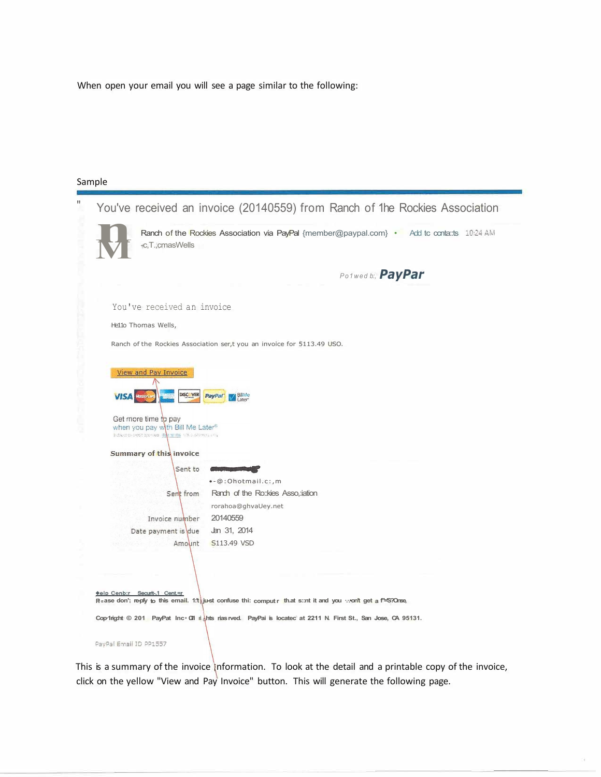When open your email you will see a page similar to the following:

#### Sample

| π | You've received an invoice (20140559) from Ranch of the Rockies Association                                                                                                                        |  |  |  |  |  |  |  |  |
|---|----------------------------------------------------------------------------------------------------------------------------------------------------------------------------------------------------|--|--|--|--|--|--|--|--|
|   | Ranch of the Rockies Association via PayPal {member@paypal.com} . Add to conta::ts 10:24 AM<br>+c,T.,cmasWells                                                                                     |  |  |  |  |  |  |  |  |
|   | Polwed b:, PayPar                                                                                                                                                                                  |  |  |  |  |  |  |  |  |
|   | You've received an invoice                                                                                                                                                                         |  |  |  |  |  |  |  |  |
|   | Hello Thomas Wells,                                                                                                                                                                                |  |  |  |  |  |  |  |  |
|   | Ranch of the Rockies Association ser,t you an invoice for 5113.49 USO.                                                                                                                             |  |  |  |  |  |  |  |  |
|   | View and Pay Invoice<br>DISC VER<br>提供の<br><b>PayPat</b><br><b>VISA</b><br>Get more time to pay<br>when you pay with Bill Me Later®<br>Eldisies to order species. Give string, US pusheries, List, |  |  |  |  |  |  |  |  |
|   | Summary of this invoice<br>Sent to<br><b>Continued to the Continued State</b>                                                                                                                      |  |  |  |  |  |  |  |  |
|   | ·- @: Ohotmail.c:, m                                                                                                                                                                               |  |  |  |  |  |  |  |  |
|   | Ranch of the Ro::kies Asso,:iation<br>Sent from                                                                                                                                                    |  |  |  |  |  |  |  |  |
|   | rorahoa@ghvaUey.net                                                                                                                                                                                |  |  |  |  |  |  |  |  |
|   | 20140559<br>Invoice number                                                                                                                                                                         |  |  |  |  |  |  |  |  |
|   | Jan 31, 2014<br>Date payment is due                                                                                                                                                                |  |  |  |  |  |  |  |  |
|   | S113.49 VSD<br>Amount<br><b>Melp Cenb:r Securit-1 Cent.=r</b>                                                                                                                                      |  |  |  |  |  |  |  |  |
|   | Raase don't reply to this email. 1:t just confuse thi: comput r that s::nt it and you won't get a f' S?Onse,                                                                                       |  |  |  |  |  |  |  |  |
|   | Cop-Irig:ht © 201 PayPat Inc G'll rights rias rved. PayPai is located at 2211 N. First St., San Jose, CA 95131.                                                                                    |  |  |  |  |  |  |  |  |
|   | PayPal Email ID PP1557                                                                                                                                                                             |  |  |  |  |  |  |  |  |

This is a summary of the invoice information. To look at the detail and a printable copy of the invoice, click on the yellow "View and Pay Invoice" button. This will generate the following page.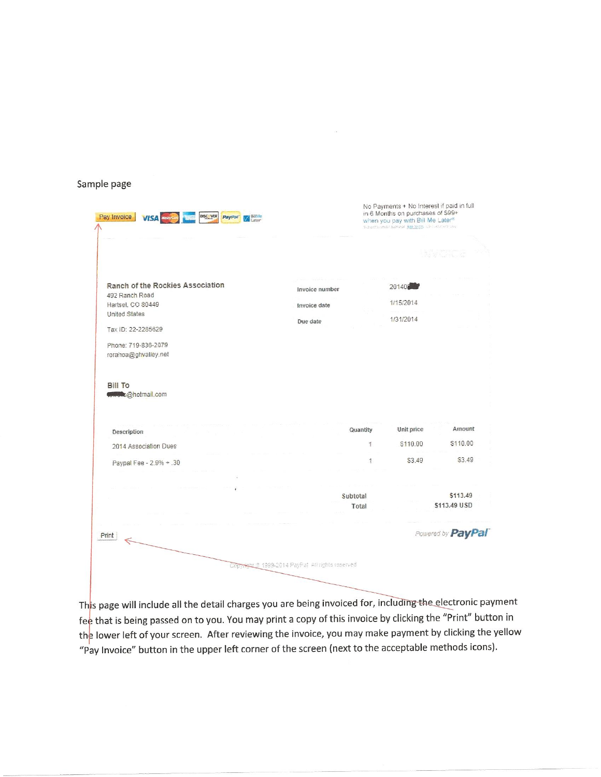#### Sample page

| Pay Invoice<br>DISC VER<br>BillMe<br><b>VISA</b><br>PayPar                                                                                                           |                                                 | No Payments + No Interest if paid in full<br>in 6 Months on purchases of \$99+<br>when you pay with Bill Me Later®<br>Subject to check ascronal. Sale terms, LG continuits and |                                 |                          |
|----------------------------------------------------------------------------------------------------------------------------------------------------------------------|-------------------------------------------------|--------------------------------------------------------------------------------------------------------------------------------------------------------------------------------|---------------------------------|--------------------------|
|                                                                                                                                                                      |                                                 |                                                                                                                                                                                |                                 |                          |
| Ranch of the Rockies Association<br>492 Ranch Road<br>Hartsel, CO 80449<br><b>United States</b><br>Tax ID: 22-2285629<br>Phone: 719-836-2079<br>rorahoa@ghvalley.net | Invoice number<br>Invoice date<br>Due date      |                                                                                                                                                                                | 20140<br>1/15/2014<br>1/31/2014 |                          |
| <b>Bill To</b><br><b>Computer Chotmail.com</b><br>Description                                                                                                        |                                                 | Quantity                                                                                                                                                                       | Unit price                      | Amount                   |
| 2014 Association Dues                                                                                                                                                |                                                 | $\ddot{\ddot{\imath}}$                                                                                                                                                         | \$110.00                        | \$110.00                 |
| Paypal Fee - 2.9% + .30                                                                                                                                              |                                                 | 債                                                                                                                                                                              | \$3.49                          | \$3.49                   |
|                                                                                                                                                                      | Subtotal                                        | Total                                                                                                                                                                          |                                 | \$113.49<br>\$113.49 USD |
| Print                                                                                                                                                                |                                                 |                                                                                                                                                                                |                                 | Powered by PayPal        |
|                                                                                                                                                                      | Copyright @ 1999-2014 PayPat Athrights reserved |                                                                                                                                                                                |                                 |                          |

This page will include all the detail charges you are being invoiced for, including the electronic payment fee that is being passed on to you. You may print a copy of this invoice by clicking the "Print" button in the lower left of your screen. After reviewing the invoice, you may make payment by clicking the yellow "Pay Invoice" button in the upper left corner of the screen (next to the acceptable methods icons).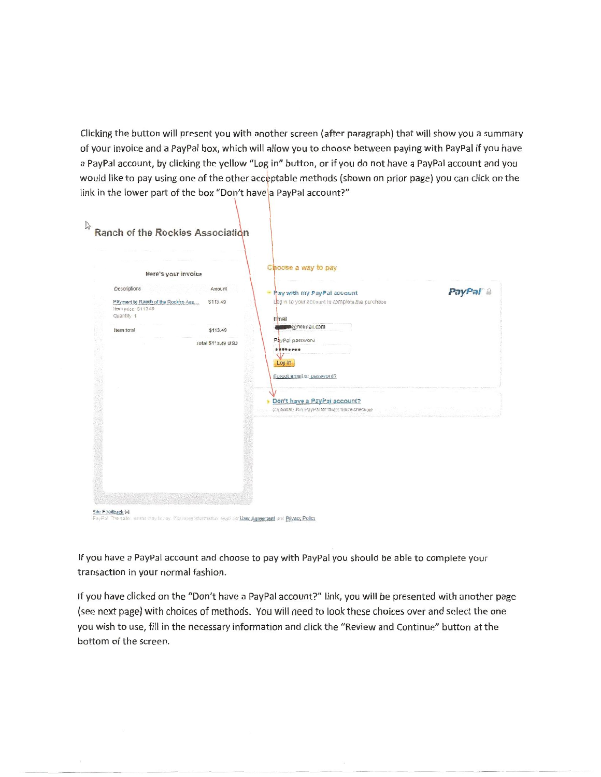Clicking the button will present you with another screen (after paragraph) that will show you a summary of your invoice and a PayPal box, which will allow you to choose between paying with PayPal if you have a PayPal account, by clicking the yellow "Log in" button, or if you do not have a PayPal account and you would like to pay using one of the other acceptable methods (shown on prior page) you can click on the link in the lower part of the box "Don't have a PayPal account?"

| PayPal <sup>®</sup> |
|---------------------|
|                     |
|                     |
|                     |
|                     |
|                     |
|                     |
|                     |
|                     |
|                     |
|                     |
|                     |
|                     |
|                     |
|                     |
|                     |
|                     |
|                     |
|                     |
|                     |
|                     |

If you have a PayPal account and choose to pay with PayPal you should be able to complete your transaction in your normal fashion.

If you have clicked on the "Don't have a PayPal account?" link, you will be presented with another page (see next page) with choices of methods. You will need to look these choices over and select the one you wish to use, fill in the necessary information and click the "Review and Continue" button at the bottom of the screen.